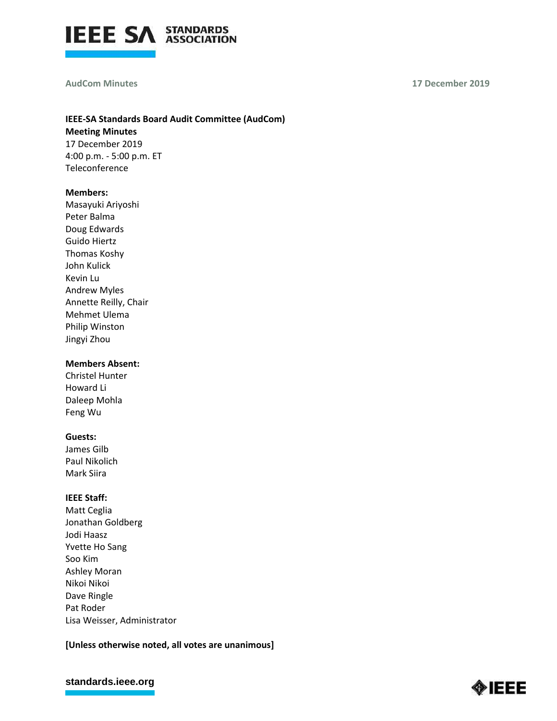

**AudCom Minutes 17 December 2019**

# **IEEE-SA Standards Board Audit Committee (AudCom) Meeting Minutes** 17 December 2019 4:00 p.m. - 5:00 p.m. ET

Teleconference

#### **Members:**

Masayuki Ariyoshi Peter Balma Doug Edwards Guido Hiertz Thomas Koshy John Kulick Kevin Lu Andrew Myles Annette Reilly, Chair Mehmet Ulema Philip Winston Jingyi Zhou

#### **Members Absent:**

Christel Hunter Howard Li Daleep Mohla Feng Wu

#### **Guests:**

James Gilb Paul Nikolich Mark Siira

### **IEEE Staff:**

Matt Ceglia Jonathan Goldberg Jodi Haasz Yvette Ho Sang Soo Kim Ashley Moran Nikoi Nikoi Dave Ringle Pat Roder Lisa Weisser, Administrator

**[Unless otherwise noted, all votes are unanimous]** 

### **[standards.ieee.org](http://standards.ieee.org/)**

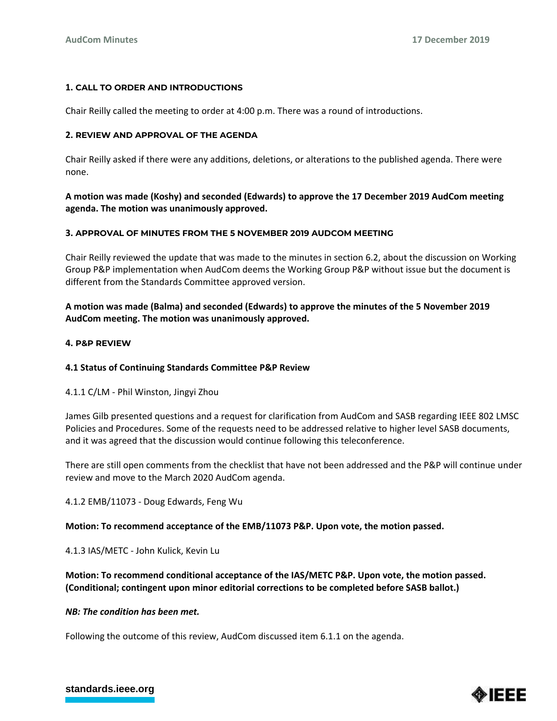# **1. CALL TO ORDER AND INTRODUCTIONS**

Chair Reilly called the meeting to order at 4:00 p.m. There was a round of introductions.

## **2. REVIEW AND APPROVAL OF THE AGENDA**

Chair Reilly asked if there were any additions, deletions, or alterations to the published agenda. There were none.

# **A motion was made (Koshy) and seconded (Edwards) to approve the 17 December 2019 AudCom meeting agenda. The motion was unanimously approved.**

## **3. APPROVAL OF MINUTES FROM THE 5 NOVEMBER 2019 AUDCOM MEETING**

Chair Reilly reviewed the update that was made to the minutes in section 6.2, about the discussion on Working Group P&P implementation when AudCom deems the Working Group P&P without issue but the document is different from the Standards Committee approved version.

# **A motion was made (Balma) and seconded (Edwards) to approve the minutes of the 5 November 2019 AudCom meeting. The motion was unanimously approved.**

## **4. P&P REVIEW**

# **4.1 Status of Continuing Standards Committee P&P Review**

### 4.1.1 C/LM - Phil Winston, Jingyi Zhou

James Gilb presented questions and a request for clarification from AudCom and SASB regarding IEEE 802 LMSC Policies and Procedures. Some of the requests need to be addressed relative to higher level SASB documents, and it was agreed that the discussion would continue following this teleconference.

There are still open comments from the checklist that have not been addressed and the P&P will continue under review and move to the March 2020 AudCom agenda.

4.1.2 EMB/11073 - Doug Edwards, Feng Wu

**Motion: To recommend acceptance of the EMB/11073 P&P. Upon vote, the motion passed.**

4.1.3 IAS/METC - John Kulick, Kevin Lu

**Motion: To recommend conditional acceptance of the IAS/METC P&P. Upon vote, the motion passed. (Conditional; contingent upon minor editorial corrections to be completed before SASB ballot.)**

### *NB: The condition has been met.*

Following the outcome of this review, AudCom discussed item 6.1.1 on the agenda.



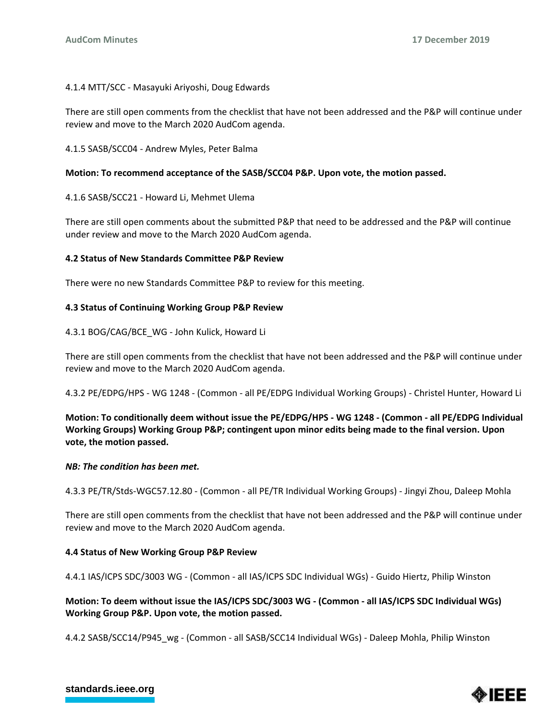## 4.1.4 MTT/SCC - Masayuki Ariyoshi, Doug Edwards

There are still open comments from the checklist that have not been addressed and the P&P will continue under review and move to the March 2020 AudCom agenda.

### 4.1.5 SASB/SCC04 - Andrew Myles, Peter Balma

## **Motion: To recommend acceptance of the SASB/SCC04 P&P. Upon vote, the motion passed.**

## 4.1.6 SASB/SCC21 - Howard Li, Mehmet Ulema

There are still open comments about the submitted P&P that need to be addressed and the P&P will continue under review and move to the March 2020 AudCom agenda.

### **4.2 Status of New Standards Committee P&P Review**

There were no new Standards Committee P&P to review for this meeting.

## **4.3 Status of Continuing Working Group P&P Review**

## 4.3.1 BOG/CAG/BCE\_WG - John Kulick, Howard Li

There are still open comments from the checklist that have not been addressed and the P&P will continue under review and move to the March 2020 AudCom agenda.

4.3.2 PE/EDPG/HPS - WG 1248 - (Common - all PE/EDPG Individual Working Groups) - Christel Hunter, Howard Li

**Motion: To conditionally deem without issue the PE/EDPG/HPS - WG 1248 - (Common - all PE/EDPG Individual Working Groups) Working Group P&P; contingent upon minor edits being made to the final version. Upon vote, the motion passed.**

### *NB: The condition has been met.*

4.3.3 PE/TR/Stds-WGC57.12.80 - (Common - all PE/TR Individual Working Groups) - Jingyi Zhou, Daleep Mohla

There are still open comments from the checklist that have not been addressed and the P&P will continue under review and move to the March 2020 AudCom agenda.

### **4.4 Status of New Working Group P&P Review**

4.4.1 IAS/ICPS SDC/3003 WG - (Common - all IAS/ICPS SDC Individual WGs) - Guido Hiertz, Philip Winston

# **Motion: To deem without issue the IAS/ICPS SDC/3003 WG - (Common - all IAS/ICPS SDC Individual WGs) Working Group P&P. Upon vote, the motion passed.**

4.4.2 SASB/SCC14/P945\_wg - (Common - all SASB/SCC14 Individual WGs) - Daleep Mohla, Philip Winston

# **[standards.ieee.org](http://standards.ieee.org/)**

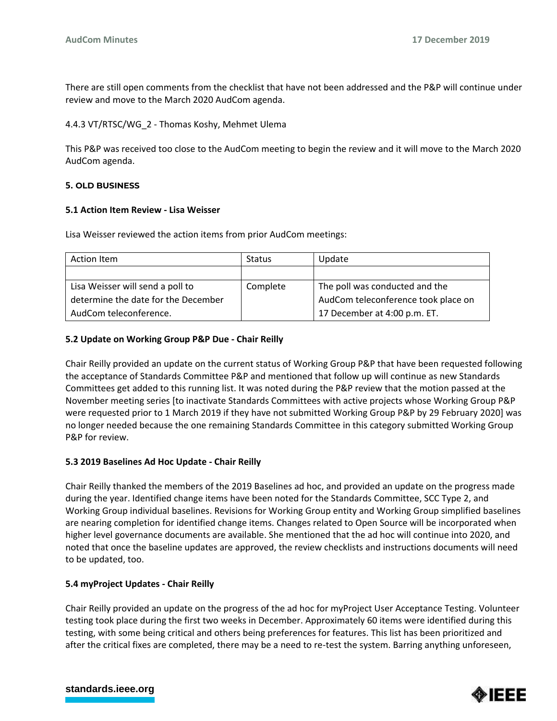There are still open comments from the checklist that have not been addressed and the P&P will continue under review and move to the March 2020 AudCom agenda.

4.4.3 VT/RTSC/WG\_2 - Thomas Koshy, Mehmet Ulema

This P&P was received too close to the AudCom meeting to begin the review and it will move to the March 2020 AudCom agenda.

# **5. OLD BUSINESS**

## **5.1 Action Item Review - Lisa Weisser**

Lisa Weisser reviewed the action items from prior AudCom meetings:

| Action Item                         | <b>Status</b> | Update                              |
|-------------------------------------|---------------|-------------------------------------|
|                                     |               |                                     |
| Lisa Weisser will send a poll to    | Complete      | The poll was conducted and the      |
| determine the date for the December |               | AudCom teleconference took place on |
| AudCom teleconference.              |               | 17 December at 4:00 p.m. ET.        |

# **5.2 Update on Working Group P&P Due - Chair Reilly**

Chair Reilly provided an update on the current status of Working Group P&P that have been requested following the acceptance of Standards Committee P&P and mentioned that follow up will continue as new Standards Committees get added to this running list. It was noted during the P&P review that the motion passed at the November meeting series [to inactivate Standards Committees with active projects whose Working Group P&P were requested prior to 1 March 2019 if they have not submitted Working Group P&P by 29 February 2020] was no longer needed because the one remaining Standards Committee in this category submitted Working Group P&P for review.

# **5.3 2019 Baselines Ad Hoc Update - Chair Reilly**

Chair Reilly thanked the members of the 2019 Baselines ad hoc, and provided an update on the progress made during the year. Identified change items have been noted for the Standards Committee, SCC Type 2, and Working Group individual baselines. Revisions for Working Group entity and Working Group simplified baselines are nearing completion for identified change items. Changes related to Open Source will be incorporated when higher level governance documents are available. She mentioned that the ad hoc will continue into 2020, and noted that once the baseline updates are approved, the review checklists and instructions documents will need to be updated, too.

# **5.4 myProject Updates - Chair Reilly**

Chair Reilly provided an update on the progress of the ad hoc for myProject User Acceptance Testing. Volunteer testing took place during the first two weeks in December. Approximately 60 items were identified during this testing, with some being critical and others being preferences for features. This list has been prioritized and after the critical fixes are completed, there may be a need to re-test the system. Barring anything unforeseen,